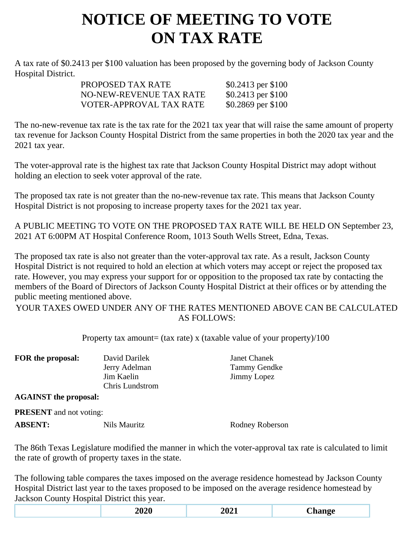## **NOTICE OF MEETING TO VOTE ON TAX RATE**

A tax rate of \$0.2413 per \$100 valuation has been proposed by the governing body of Jackson County Hospital District.

| \$0.2413 per \$100 |
|--------------------|
| \$0.2413 per \$100 |
| \$0.2869 per \$100 |
|                    |

The no-new-revenue tax rate is the tax rate for the 2021 tax year that will raise the same amount of property tax revenue for Jackson County Hospital District from the same properties in both the 2020 tax year and the 2021 tax year.

The voter-approval rate is the highest tax rate that Jackson County Hospital District may adopt without holding an election to seek voter approval of the rate.

The proposed tax rate is not greater than the no-new-revenue tax rate. This means that Jackson County Hospital District is not proposing to increase property taxes for the 2021 tax year.

A PUBLIC MEETING TO VOTE ON THE PROPOSED TAX RATE WILL BE HELD ON September 23, 2021 AT 6:00PM AT Hospital Conference Room, 1013 South Wells Street, Edna, Texas.

The proposed tax rate is also not greater than the voter-approval tax rate. As a result, Jackson County Hospital District is not required to hold an election at which voters may accept or reject the proposed tax rate. However, you may express your support for or opposition to the proposed tax rate by contacting the members of the Board of Directors of Jackson County Hospital District at their offices or by attending the public meeting mentioned above.

YOUR TAXES OWED UNDER ANY OF THE RATES MENTIONED ABOVE CAN BE CALCULATED AS FOLLOWS:

Property tax amount= (tax rate) x (taxable value of your property)/100

| FOR the proposal:            | David Darilek          | Janet Chanek |
|------------------------------|------------------------|--------------|
|                              | Jerry Adelman          | Tammy Gendke |
|                              | Jim Kaelin             | Jimmy Lopez  |
|                              | <b>Chris Lundstrom</b> |              |
| <b>AGAINST</b> the proposal: |                        |              |

**PRESENT** and not voting:

**ABSENT:** Nils Mauritz Rodney Roberson

The 86th Texas Legislature modified the manner in which the voter-approval tax rate is calculated to limit the rate of growth of property taxes in the state.

The following table compares the taxes imposed on the average residence homestead by Jackson County Hospital District last year to the taxes proposed to be imposed on the average residence homestead by Jackson County Hospital District this year.